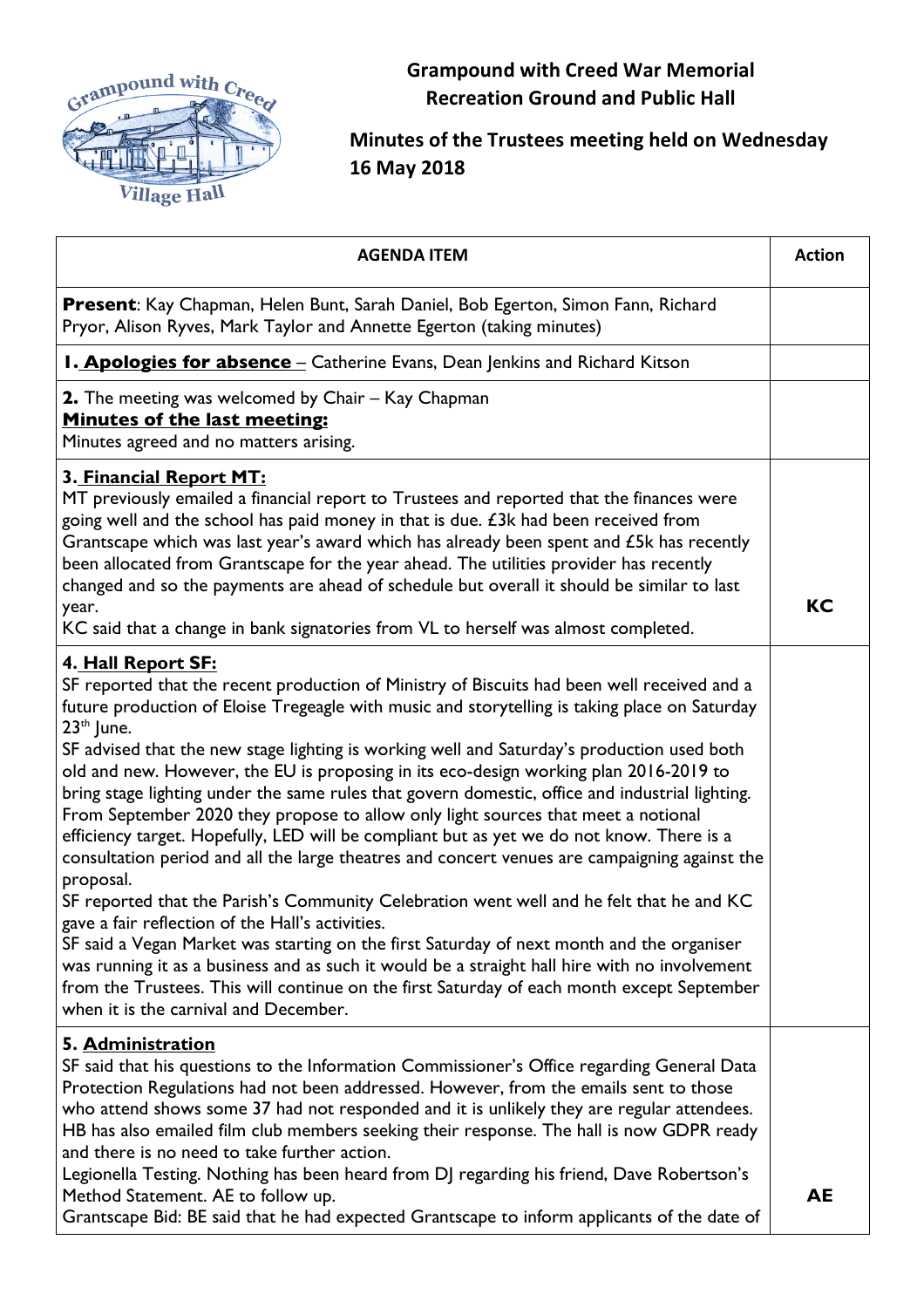

**Grampound with Creed War Memorial Recreation Ground and Public Hall**

## **Minutes of the Trustees meeting held on Wednesday 16 May 2018**

| <b>AGENDA ITEM</b>                                                                                                                                                                                                                                                                                                                                                                                                                                                                                                                                                                                                                                                                                                                                                                                                                                                                                                                                                                                                                                                                                                                                                                                                                                                                                                | <b>Action</b> |
|-------------------------------------------------------------------------------------------------------------------------------------------------------------------------------------------------------------------------------------------------------------------------------------------------------------------------------------------------------------------------------------------------------------------------------------------------------------------------------------------------------------------------------------------------------------------------------------------------------------------------------------------------------------------------------------------------------------------------------------------------------------------------------------------------------------------------------------------------------------------------------------------------------------------------------------------------------------------------------------------------------------------------------------------------------------------------------------------------------------------------------------------------------------------------------------------------------------------------------------------------------------------------------------------------------------------|---------------|
| Present: Kay Chapman, Helen Bunt, Sarah Daniel, Bob Egerton, Simon Fann, Richard<br>Pryor, Alison Ryves, Mark Taylor and Annette Egerton (taking minutes)                                                                                                                                                                                                                                                                                                                                                                                                                                                                                                                                                                                                                                                                                                                                                                                                                                                                                                                                                                                                                                                                                                                                                         |               |
| <b>I. Apologies for absence</b> - Catherine Evans, Dean Jenkins and Richard Kitson                                                                                                                                                                                                                                                                                                                                                                                                                                                                                                                                                                                                                                                                                                                                                                                                                                                                                                                                                                                                                                                                                                                                                                                                                                |               |
| 2. The meeting was welcomed by Chair - Kay Chapman<br><b>Minutes of the last meeting:</b><br>Minutes agreed and no matters arising.                                                                                                                                                                                                                                                                                                                                                                                                                                                                                                                                                                                                                                                                                                                                                                                                                                                                                                                                                                                                                                                                                                                                                                               |               |
| 3. Financial Report MT:<br>MT previously emailed a financial report to Trustees and reported that the finances were<br>going well and the school has paid money in that is due. £3k had been received from<br>Grantscape which was last year's award which has already been spent and £5k has recently<br>been allocated from Grantscape for the year ahead. The utilities provider has recently<br>changed and so the payments are ahead of schedule but overall it should be similar to last<br>year.<br>KC said that a change in bank signatories from VL to herself was almost completed.                                                                                                                                                                                                                                                                                                                                                                                                                                                                                                                                                                                                                                                                                                                     | <b>KC</b>     |
| 4. Hall Report SF:<br>SF reported that the recent production of Ministry of Biscuits had been well received and a<br>future production of Eloise Tregeagle with music and storytelling is taking place on Saturday<br>$23th$ June.<br>SF advised that the new stage lighting is working well and Saturday's production used both<br>old and new. However, the EU is proposing in its eco-design working plan 2016-2019 to<br>bring stage lighting under the same rules that govern domestic, office and industrial lighting.<br>From September 2020 they propose to allow only light sources that meet a notional<br>efficiency target. Hopefully, LED will be compliant but as yet we do not know. There is a<br>consultation period and all the large theatres and concert venues are campaigning against the<br>proposal.<br>SF reported that the Parish's Community Celebration went well and he felt that he and KC<br>gave a fair reflection of the Hall's activities.<br>SF said a Vegan Market was starting on the first Saturday of next month and the organiser<br>was running it as a business and as such it would be a straight hall hire with no involvement<br>from the Trustees. This will continue on the first Saturday of each month except September<br>when it is the carnival and December. |               |
| 5. Administration<br>SF said that his questions to the Information Commissioner's Office regarding General Data<br>Protection Regulations had not been addressed. However, from the emails sent to those<br>who attend shows some 37 had not responded and it is unlikely they are regular attendees.<br>HB has also emailed film club members seeking their response. The hall is now GDPR ready<br>and there is no need to take further action.<br>Legionella Testing. Nothing has been heard from DJ regarding his friend, Dave Robertson's<br>Method Statement. AE to follow up.<br>Grantscape Bid: BE said that he had expected Grantscape to inform applicants of the date of                                                                                                                                                                                                                                                                                                                                                                                                                                                                                                                                                                                                                               | <b>AE</b>     |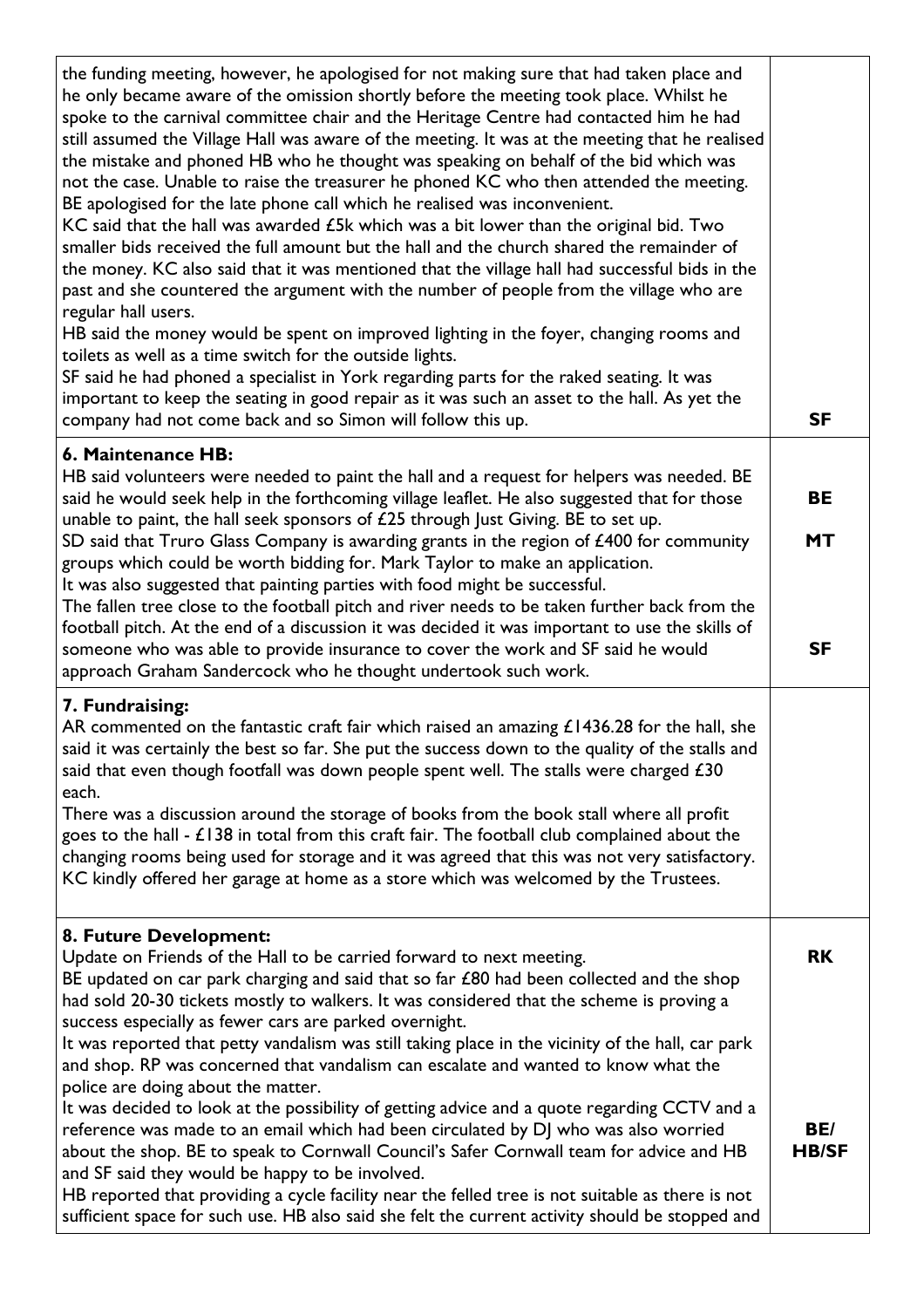| the funding meeting, however, he apologised for not making sure that had taken place and<br>he only became aware of the omission shortly before the meeting took place. Whilst he<br>spoke to the carnival committee chair and the Heritage Centre had contacted him he had<br>still assumed the Village Hall was aware of the meeting. It was at the meeting that he realised<br>the mistake and phoned HB who he thought was speaking on behalf of the bid which was<br>not the case. Unable to raise the treasurer he phoned KC who then attended the meeting.<br>BE apologised for the late phone call which he realised was inconvenient.<br>KC said that the hall was awarded $\pounds$ 5k which was a bit lower than the original bid. Two<br>smaller bids received the full amount but the hall and the church shared the remainder of<br>the money. KC also said that it was mentioned that the village hall had successful bids in the<br>past and she countered the argument with the number of people from the village who are<br>regular hall users.<br>HB said the money would be spent on improved lighting in the foyer, changing rooms and<br>toilets as well as a time switch for the outside lights.<br>SF said he had phoned a specialist in York regarding parts for the raked seating. It was<br>important to keep the seating in good repair as it was such an asset to the hall. As yet the<br>company had not come back and so Simon will follow this up. | <b>SF</b>           |
|------------------------------------------------------------------------------------------------------------------------------------------------------------------------------------------------------------------------------------------------------------------------------------------------------------------------------------------------------------------------------------------------------------------------------------------------------------------------------------------------------------------------------------------------------------------------------------------------------------------------------------------------------------------------------------------------------------------------------------------------------------------------------------------------------------------------------------------------------------------------------------------------------------------------------------------------------------------------------------------------------------------------------------------------------------------------------------------------------------------------------------------------------------------------------------------------------------------------------------------------------------------------------------------------------------------------------------------------------------------------------------------------------------------------------------------------------------------------------------|---------------------|
| 6. Maintenance HB:<br>HB said volunteers were needed to paint the hall and a request for helpers was needed. BE<br>said he would seek help in the forthcoming village leaflet. He also suggested that for those                                                                                                                                                                                                                                                                                                                                                                                                                                                                                                                                                                                                                                                                                                                                                                                                                                                                                                                                                                                                                                                                                                                                                                                                                                                                    | BE                  |
| unable to paint, the hall seek sponsors of £25 through Just Giving. BE to set up.<br>SD said that Truro Glass Company is awarding grants in the region of £400 for community<br>groups which could be worth bidding for. Mark Taylor to make an application.<br>It was also suggested that painting parties with food might be successful.                                                                                                                                                                                                                                                                                                                                                                                                                                                                                                                                                                                                                                                                                                                                                                                                                                                                                                                                                                                                                                                                                                                                         | <b>MT</b>           |
| The fallen tree close to the football pitch and river needs to be taken further back from the<br>football pitch. At the end of a discussion it was decided it was important to use the skills of<br>someone who was able to provide insurance to cover the work and SF said he would<br>approach Graham Sandercock who he thought undertook such work.                                                                                                                                                                                                                                                                                                                                                                                                                                                                                                                                                                                                                                                                                                                                                                                                                                                                                                                                                                                                                                                                                                                             | <b>SF</b>           |
| 7. Fundraising:<br>AR commented on the fantastic craft fair which raised an amazing $£1436.28$ for the hall, she<br>said it was certainly the best so far. She put the success down to the quality of the stalls and<br>said that even though footfall was down people spent well. The stalls were charged £30<br>each.<br>There was a discussion around the storage of books from the book stall where all profit<br>goes to the hall $-$ £138 in total from this craft fair. The football club complained about the<br>changing rooms being used for storage and it was agreed that this was not very satisfactory.<br>KC kindly offered her garage at home as a store which was welcomed by the Trustees.                                                                                                                                                                                                                                                                                                                                                                                                                                                                                                                                                                                                                                                                                                                                                                       |                     |
| 8. Future Development:<br>Update on Friends of the Hall to be carried forward to next meeting.<br>BE updated on car park charging and said that so far $£80$ had been collected and the shop<br>had sold 20-30 tickets mostly to walkers. It was considered that the scheme is proving a<br>success especially as fewer cars are parked overnight.<br>It was reported that petty vandalism was still taking place in the vicinity of the hall, car park<br>and shop. RP was concerned that vandalism can escalate and wanted to know what the<br>police are doing about the matter.                                                                                                                                                                                                                                                                                                                                                                                                                                                                                                                                                                                                                                                                                                                                                                                                                                                                                                | <b>RK</b>           |
| It was decided to look at the possibility of getting advice and a quote regarding CCTV and a<br>reference was made to an email which had been circulated by DJ who was also worried<br>about the shop. BE to speak to Cornwall Council's Safer Cornwall team for advice and HB<br>and SF said they would be happy to be involved.<br>HB reported that providing a cycle facility near the felled tree is not suitable as there is not<br>sufficient space for such use. HB also said she felt the current activity should be stopped and                                                                                                                                                                                                                                                                                                                                                                                                                                                                                                                                                                                                                                                                                                                                                                                                                                                                                                                                           | BE/<br><b>HB/SF</b> |